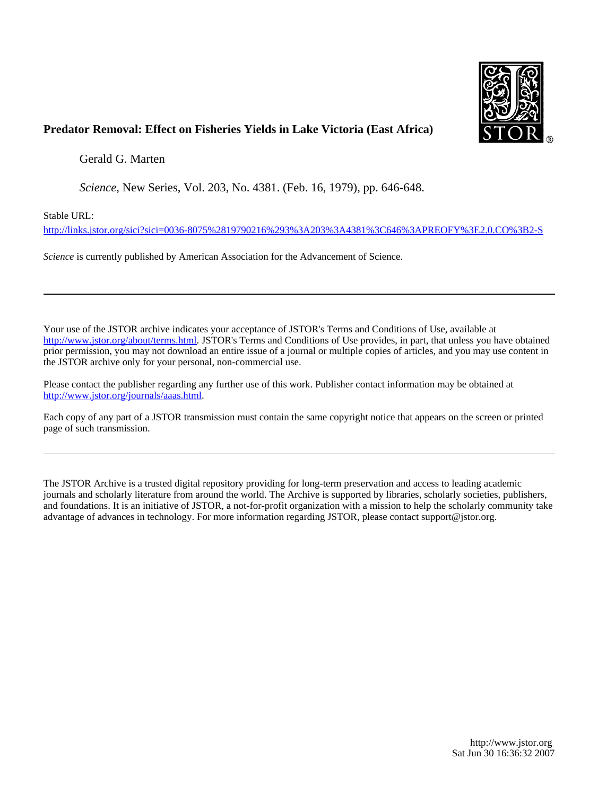

## **Predator Removal: Effect on Fisheries Yields in Lake Victoria (East Africa)**

Gerald G. Marten

*Science*, New Series, Vol. 203, No. 4381. (Feb. 16, 1979), pp. 646-648.

Stable URL:

<http://links.jstor.org/sici?sici=0036-8075%2819790216%293%3A203%3A4381%3C646%3APREOFY%3E2.0.CO%3B2-S>

*Science* is currently published by American Association for the Advancement of Science.

Your use of the JSTOR archive indicates your acceptance of JSTOR's Terms and Conditions of Use, available at [http://www.jstor.org/about/terms.html.](http://www.jstor.org/about/terms.html) JSTOR's Terms and Conditions of Use provides, in part, that unless you have obtained prior permission, you may not download an entire issue of a journal or multiple copies of articles, and you may use content in the JSTOR archive only for your personal, non-commercial use.

Please contact the publisher regarding any further use of this work. Publisher contact information may be obtained at [http://www.jstor.org/journals/aaas.html.](http://www.jstor.org/journals/aaas.html)

Each copy of any part of a JSTOR transmission must contain the same copyright notice that appears on the screen or printed page of such transmission.

The JSTOR Archive is a trusted digital repository providing for long-term preservation and access to leading academic journals and scholarly literature from around the world. The Archive is supported by libraries, scholarly societies, publishers, and foundations. It is an initiative of JSTOR, a not-for-profit organization with a mission to help the scholarly community take advantage of advances in technology. For more information regarding JSTOR, please contact support@jstor.org.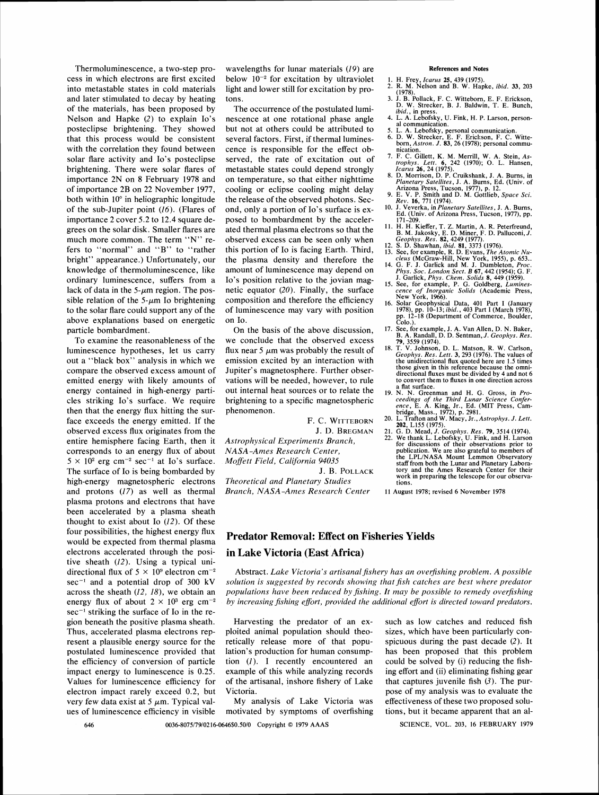Thermoluminescence, a two-step process in which electrons are first excited into metastable states in cold materials and later stimulated to decay by heating of the materials, has been proposed by Nelson and Hapke (2) to explain 10's posteclipse brightening. They showed that this process would be consistent with the correlation they found between solar flare activity and Io's posteclipse brightening. There were solar flares of importance 2N on 8 February 1978 and of importance 2B on 22 November 1977, both within 10° in heliographic longitude of the sub-Jupiter point (16). (Flares of importance 2 cover 5.2 to 12.4 square degrees on the solar disk. Smaller flares are much more common. The term "N" refers to "normal" and "B" to "rather bright" appearance.) Unfortunately, our knowledge of thermoluminescence, like ordinary luminescence, suffers from a lack of data in the  $5-\mu m$  region. The possible relation of the  $5-\mu m$  Io brightening to the solar flare could support any of the above explanations based on energetic particle bombardment.

To examine the reasonableness of the luminescence hypotheses, let us carry out a "black box" analysis in which we compare the observed excess amount of emitted energy with likely amounts of energy contained in high-energy particles striking 10's surface. We require then that the energy flux hitting the surface exceeds the energy emitted. If the observed excess flux originates from the entire hemisphere facing Earth, then it corresponds to an energy flux of about  $5 \times 10^2$  erg cm<sup>-2</sup> sec<sup>-1</sup> at Io's surface. The surface of 10 is being bombarded by high-energy magnetospheric electrons and protons (17) as well as thermal plasma protons and electrons that have been accelerated by a plasma sheath thought to exist about Io  $(12)$ . Of these four possibilities, the highest energy flux would be expected from thermal plasma electrons accelerated through the positive sheath (12). Using a typical uni $sec^{-1}$  striking the surface of Io in the region beneath the positive plasma sheath. Thus, accelerated plasma electrons represent a plausible energy source for the postulated luminescence provided that the efficiency of conversion of particle impact energy to luminescence is 0.25. Values for luminescence efficiency for electron impact rarely exceed 0.2, but very few data exist at 5  $\mu$ m. Typical values of luminescence efficiency in visible

wavelengths for lunar materials (19) are below  $10^{-2}$  for excitation by ultraviolet light and lower still for excitation by protons.

The occurrence of the postulated luminescence at one rotational phase angle but not at others could be attributed to several factors. First, if thermal luminescence is responsible for the effect observed, the rate of excitation out of metastable states could depend strongly on temperature, so that either nighttime cooling or eclipse cooling might delay the release of the observed photons. Second, only a portion of Io's surface is exposed to bombardment by the accelerated thermal plasma electrons so that the observed excess can be seen only when this portion of 10 is facing Earth. Third, the plasma density and therefore the amount of luminescence may depend on Io's position relative to the jovian magnetic equator (20). Finally, the surface composition and therefore the efficiency of luminescence may vary with position on 10.

On the basis of the above discussion, we conclude that the observed excess flux near  $5 \mu m$  was probably the result of emission excited by an interaction with Jupiter's magnetosphere. Further observations will be needed, however, to rule out internal heat sources or to relate the brightening to a specific magnetospheric phenomenon.

*Astrophysical Experiments Branch, NASA-Awes Research Center, Moffett Field, California 94035* 

J, B. POLLACK

*Theoretical and Planetary Studies Branch, NASA-Awes Research Center* 

#### **References and Notes**

- 1. H. Frey, *Icarus* 25, 439 (1975).<br>2. R. M. Nelson and B. W. Hapke, *ibid.* 33, 203
- 3. J. B. Pollack, F. C. Wittebom, E. F. Erickson,
- D. W. Strecker, B. J. Baldwin, T. E. Bunch, *bidd., in press.*<br> *didd., in press.*<br>
4. L. A. Lebofsky, U. Fink, H. P. Larson, person-<br>
al communication.
- 
- al communication.<br>
5. L. A. Lebofsky, personal communication.<br>
6. D. W. Strecker, E. F. Erickson, F. C. Witte-<br>
born, *Astron. J.* **83**, 26 (1978); personal commu-<br>
nication.
- 7. F. C. Gillett, K. M. Merrill, W. A. Stein, *Astrophys. Lett.* **6**, 242 (1970); O. L. Hansen, *Icarus* 26, 24 (1975).
- 8. D. Morrison, D. P. Cruikshank, J. A. Bums, in *Planetary Satellites,* J. A. Bums, Ed. (Univ. of
- 9. E. V. P. Smith and D. M. Gottlieb, *Space Sci. Rev.* **16**, 771 (1974). <br>10. J. Veverka, in *Planetary Satellites*, J. A. Burns,
- Ed. (Univ. of Arizona Press, Tucson, 1977), pp.
- 171-209. 11. H. H. Kieffer, **T.** Z. Martin, A. R. Peterfreund, B. M. Jakosky, E. D. Miner, F. D. Palluconi, *J. Geophys. Res.* 82, 4249 (1977).
- 
- 
- 12. S. D. Shawhan, *ibid.* 81, 3373 (1976).<br>
13. See, for example, R. D. Evans, *The Atomic Nucleus* (McGraw-Hill, New York, 1955), p. 653.<br>
14. G. F. J. Garlick and M. J. Dumbleton, *Proc.*<br> *Phys. Soc. London Sect. B* 6
- *cence of Inorganic Solids* (Academic Press, New York, 1966).
- 16. Solar Geophysical Data, 401 Part I (January 1978), pp. 10-13; *ibid.,*403 Part *I* (March 1978), pp. 12-18 (Department of Commerce, Boulder, Colo.).
- 
- 17. See, for example, J. A. Van Allen, D. N. Baker,<br>B. A. Randall, D. D. Sentman, J. Geophys. Res.<br>**79**, 3559 (1974).<br>18. T. V. Johnson, D. L. Matson, R. W. Carlson,<br>Geophys. Res. Lett. 3, 293 (1976). The values of<br>the un directional fluxes must be divided by 4 and not 6 to convert them to fluxes in one direction across a flat surface.
- F. C. WITTEBORN 20. L. S. Greenman and H. G. Gross, in Pro-<br>
F. C. WITTEBORN 20. L. Trafton and H. B. (MIT Press, Cambridge, Mass., 1972), p. 2981.<br>
F. C. WITTEBORN 20. L. Trafton and W. Macy, Jr., Astrophys. J. Lett.<br>
J.
	-
	- 22. We thank L. Lebofsky, U. Fink, and H. Larson for discussions of their observations prior to publication. We are also grateful to members of the LPL/NASA Mount Lemmon Observatory staff from both the Lunar and Planetary Laboratory and the Ames Research Center for their work in preparing the telescope for our observations.
	- 11 August 1978; revised 6 November 1978

### **Predator Removal: Effect on Fisheries Yields**

### **in Lake Victoria (East Africa)**

directional flux of  $5 \times 10^9$  electron cm<sup>-2</sup> Abstract. *Lake Victoria's artisanal fishery has an overfishing problem. A possible* sec<sup>-1</sup> and a potential drop of 300 kV *solution is suggested by records showing that fish catches are best where predator* across the sheath (12, 18), we obtain an *populations have been reduced by fishing. It may be possible to remedy overfishing* energy flux of about  $2 \times 10^3$  erg cm<sup>-2</sup> *by increasing fishing effort, provided the additional effort is directed toward predators.* 

> Harvesting the predator of an exploited animal population should theoretically release more of that population's production for human consumption (I). I recently encountered an example of this while analyzing records of the artisanal, inshore fishery of Lake Victoria.

My analysis of Lake Victoria was motivated by symptoms of overfishing

0036-8075179102 16 -0646\$0.5010 Copyright O 1979 AAAS 646 SCIENCE, VOL. 203, 16 FEBRUARY 1979

such as low catches and reduced fish sizes, which have been particularly conspicuous during the past decade (2). It has been proposed that this problem could be solved by (i) reducing the fishing effort and (ii) eliminating fishing gear that captures juvenile fish  $(3)$ . The purpose of my analysis was to evaluate the effectiveness of these two proposed solutions, but it became apparent that an al-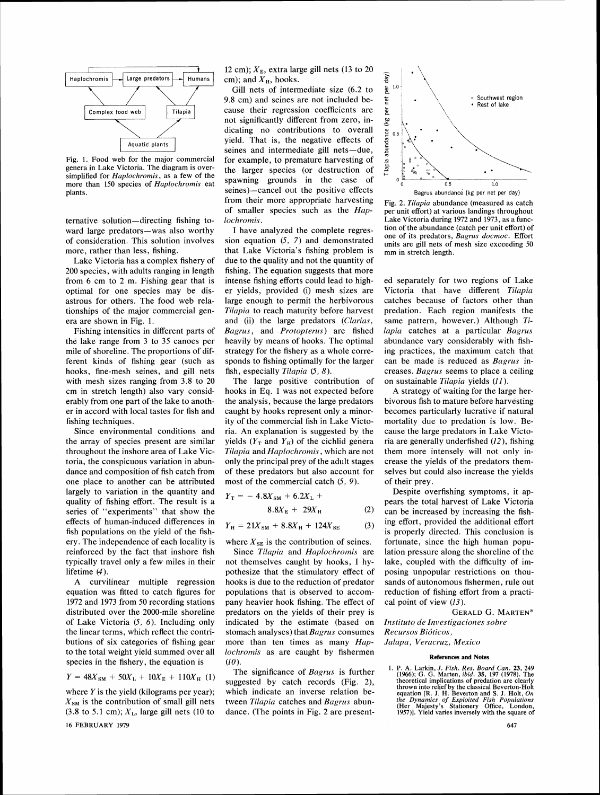

Fig. **1.** Food web for the major commercial genera in Lake Victoria. The diagram is oversimplified for *Haplochromis,* as a few of the more than 150 species of *Haplochromis* eat plants.

ternative solution-directing fishing toward large predators-was also worthy of consideration. This solution involves more, rather than less, fishing.

Lake Victoria has a complex fishery of 200 species, with adults ranging in length from 6 cm to 2 m. Fishing gear that is optimal for one species may be disastrous for others. The food web relationships of the major commercial genera are shown in Fig. 1.

Fishing intensities in different parts of the lake range from 3 to 35 canoes per mile of shoreline. The proportions of different kinds of fishing gear (such as hooks, fine-mesh seines, and gill nets with mesh sizes ranging from 3.8 to 20 cm in stretch length) also vary considerably from one part of the lake to another in accord with local tastes for fish and fishing techniques.

Since environmental conditions and the array of species present are similar throughout the inshore area of Lake Victoria, the conspicuous variation in abundance and composition of fish catch from one place to another can be attributed largely to variation in the quantity and quality of fishing effort. The result is a series of "experiments" that show the effects of human-induced differences in fish populations on the yield of the fishery. The independence of each locality is reinforced by the fact that inshore fish typically travel only a few miles in their lifetime (4).

A curvilinear multiple regression equation was fitted to catch figures for 1972 and 1973 from 50 recording stations distributed over the 2000-mile shoreline of Lake Victoria (5, 6). Including only the linear terms, which reflect the contributions of six categories of fishing gear to the total weight yield summed over all species in the fishery, the equation is

 $Y = 48X_{SM} + 50X_L + 10X_E + 110X_H$  (1)

where  $Y$  is the yield (kilograms per year);  $X_{\text{SM}}$  is the contribution of small gill nets (3.8 to 5.1 cm);  $X<sub>L</sub>$ , large gill nets (10 to 16 FEBRUARY 1979

12 cm);  $X_{\rm E}$ , extra large gill nets (13 to 20 cm); and  $X_H$ , hooks.

Gill nets of intermediate size (6.2 to 9.8 cm) and seines are not included because their regression coefficients are not significantly different from zero, indicating no contributions to overall yield. That is, the negative effects of seines and intermediate gill nets-due, for example, to premature harvesting of the larger species (or destruction of spawning grounds in the case of seines)-cancel out the positive effects from their more appropriate harvesting of smaller species such as the Haplochromis.

I have analyzed the complete regression equation (5, 7) and demonstrated that Lake Victoria's fishing problem is due to the quality and not the quantity of fishing. The equation suggests that more intense fishing efforts could lead to higher yields, provided (i) mesh sizes are large enough to permit the herbivorous Tilapia to reach maturity before harvest and (ii) the large predators (Clarias, Bagrus, and Protopterus) are fished heavily by means of hooks. The optimal strategy for the fishery as a whole corresponds to fishing optimally for the larger fish, especially Tilapia (5, *8).* 

The large positive contribution of hooks in Eq. 1 was not expected before the analysis, because the large predators caught by hooks represent only a minority of the commercial fish in Lake Victoria. An explanation is suggested by the yields  $(Y_T \text{ and } Y_H)$  of the cichlid genera Tilapia and Haplochromis, which are not only the principal prey of the adult stages of these predators but also account for most of the commercial catch (5, 9).

$$
Y_{\rm T} = -4.8X_{\rm SM} + 6.2X_{\rm L} +
$$

 $8.8X_{\rm E}$  + 29 $X_{\rm H}$ 

 $(2)$ 

 $Y_{\rm H} = 21X_{\rm SM} + 8.8X_{\rm H} + 124X_{\rm SE}$  $(3)$ 

where  $X_{\text{SE}}$  is the contribution of seines.

Since Tilapia and Haplochromis are not themselves caught by hooks, I hypothesize that the stimulatory effect of hooks is due to the reduction of predator populations that is observed to accompany heavier hook fishing. The effect of predators on the yields of their prey is indicated by the estimate (based on stomach analyses) that Bagrus consumes more than ten times as many Haplochromis as are caught by fishermen (10).

The significance of Bagrus is further suggested by catch records (Fig. 2). which indicate an inverse relation between Tilapia catches and Bagrus abundance. (The points in Fig. 2 are present-



Fig. **2.** *Tilupia* abundance (measured as catch per unit effort) at various landings throughout Lake Victoria during **1972** and 1973, as a function of the abundance (catch per unit effort) of one of its predators, *Bagrus docmoc.* Effort units are gill nets of mesh size exceeding 50 mm in stretch length.

ed separately for two regions of Lake Victoria that have different Tilapia catches because of factors other than predation. Each region manifests the same pattern, however.) Although Tilapia catches at a particular Bagrus abundance vary considerably with fishing practices, the maximum catch that can be made is reduced as Bagrus increases. Bagrus seems to place a ceiling on sustainable Tilapia yields (11).

A strategy of waiting for the large herbivorous fish to mature before harvesting becomes particularly lucrative if natural mortality due to predation is low. Because the large predators in Lake Victoria are generally underfished (12), fishing them more intensely will not only increase the yields of the predators themselves but could also increase the yields of their prey.

Despite overfishing symptoms, it appears the total harvest of Lake Victoria can be increased by increasing the fishing effort, provided the additional effort is properly directed. This conclusion is fortunate, since the high human population pressure along the shoreline of the lake, coupled with the difficulty of imposing unpopular restrictions on thousands of autonomous fishermen, rule out reduction of fishing effort from a practical point of view  $(13)$ .

GERALD G. MARTEN\* Instituto de Investigaciones sobre Recursos Bióticos. Jalapa, Veracruz, Mexico

#### **References and Notes**

1. P. A. Larkin, *J. Fish. Res. Board Can. 23,* 249 (1966); *G.* G. Marten, *ibid.* 35, 197 (1978). The theoretical implications of predation are clearly<br>thrown into relief by the classical Beverton-Holt<br>equation [R. J. H. Beverton and S. J. Holt, On<br>the Dynamics of Exploited Fish Populations<br>(Her Majesty's Stationery Office